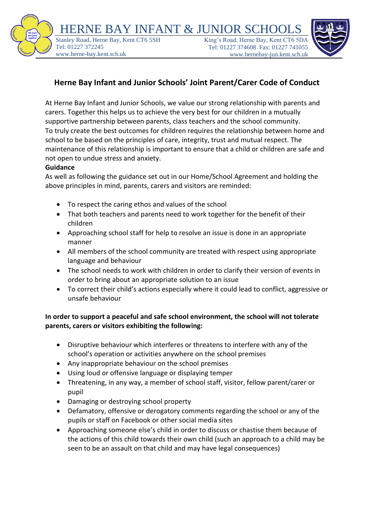HERNE BAY INFANT & JUNIOR SO [S](https://bpprodstorage.blob.core.windows.net/bpprodcontainer/2458968/images/7ca9d2c6-b0b9-4e70-ab8a-cbcf529f12c0flowerlogolarge.png)tanley Road, Herne Bay, Kent CT6 5SH Tel: 01227 372245 www.herne-bay.kent.sch.uk

King's Road, Herne Bay, Kent CT6 5D Tel: 01227 374608 Fax: 01227 741055 www.hernebay-jun.kent.sch.uk



## **Herne Bay Infant and Junior Schools' Joint Parent/Carer Code of Conduct**

At Herne Bay Infant and Junior Schools, we value our strong relationship with parents and carers. Together this helps us to achieve the very best for our children in a mutually supportive partnership between parents, class teachers and the school community. To truly create the best outcomes for children requires the relationship between home and school to be based on the principles of care, integrity, trust and mutual respect. The maintenance of this relationship is important to ensure that a child or children are safe and not open to undue stress and anxiety.

## **Guidance**

As well as following the guidance set out in our Home/School Agreement and holding the above principles in mind, parents, carers and visitors are reminded:

- To respect the caring ethos and values of the school
- That both teachers and parents need to work together for the benefit of their children
- Approaching school staff for help to resolve an issue is done in an appropriate manner
- All members of the school community are treated with respect using appropriate language and behaviour
- The school needs to work with children in order to clarify their version of events in order to bring about an appropriate solution to an issue
- To correct their child's actions especially where it could lead to conflict, aggressive or unsafe behaviour

## **In order to support a peaceful and safe school environment, the school will not tolerate parents, carers or visitors exhibiting the following:**

- Disruptive behaviour which interferes or threatens to interfere with any of the school's operation or activities anywhere on the school premises
- Any inappropriate behaviour on the school premises
- Using loud or offensive language or displaying temper
- Threatening, in any way, a member of school staff, visitor, fellow parent/carer or pupil
- Damaging or destroying school property
- Defamatory, offensive or derogatory comments regarding the school or any of the pupils or staff on Facebook or other social media sites
- Approaching someone else's child in order to discuss or chastise them because of the actions of this child towards their own child (such an approach to a child may be seen to be an assault on that child and may have legal consequences)